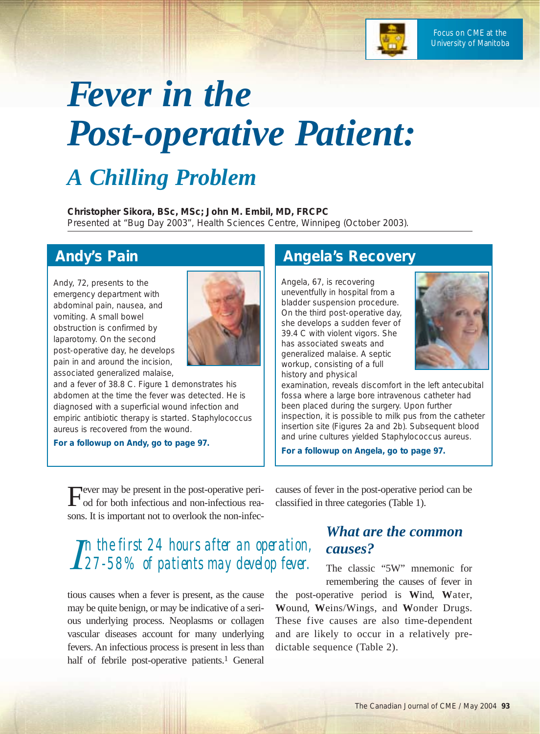

# *Fever in the Post-operative Patient:*

## *A Chilling Problem*

**Christopher Sikora, BSc, MSc; John M. Embil, MD, FRCPC** Presented at "Bug Day 2003", Health Sciences Centre, Winnipeg (October 2003).

## **Andy's Pain**

Andy, 72, presents to the emergency department with abdominal pain, nausea, and vomiting. A small bowel obstruction is confirmed by laparotomy. On the second post-operative day, he develops pain in and around the incision, associated generalized malaise,



and a fever of 38.8 C. Figure 1 demonstrates his abdomen at the time the fever was detected. He is diagnosed with a superficial wound infection and empiric antibiotic therapy is started. *Staphylococcus aureus* is recovered from the wound.

**For a followup on Andy, go to page 97.**

Fever may be present in the post-operative peri-<br>
od for both infectious and non-infectious reasons. It is important not to overlook the non-infec-

## *I n the first 24 hours after an operation, 27-58% of patients may develop fever.*

tious causes when a fever is present, as the cause may be quite benign, or may be indicative of a serious underlying process. Neoplasms or collagen vascular diseases account for many underlying fevers. An infectious process is present in less than half of febrile post-operative patients.<sup>1</sup> General

## **Angela's Recovery**

Angela, 67, is recovering uneventfully in hospital from a bladder suspension procedure. On the third post-operative day, she develops a sudden fever of 39.4 C with violent vigors. She has associated sweats and generalized malaise. A septic workup, consisting of a full history and physical



examination, reveals discomfort in the left antecubital fossa where a large bore intravenous catheter had been placed during the surgery. Upon further inspection, it is possible to milk pus from the catheter insertion site (Figures 2a and 2b). Subsequent blood and urine cultures yielded *Staphylococcus aureus*.

**For a followup on Angela, go to page 97.**

causes of fever in the post-operative period can be classified in three categories (Table 1).

## *What are the common causes?*

The classic "5W" mnemonic for remembering the causes of fever in

the post-operative period is **W**ind, **W**ater, **W**ound, **W**eins/Wings, and **W**onder Drugs. These five causes are also time-dependent and are likely to occur in a relatively predictable sequence (Table 2).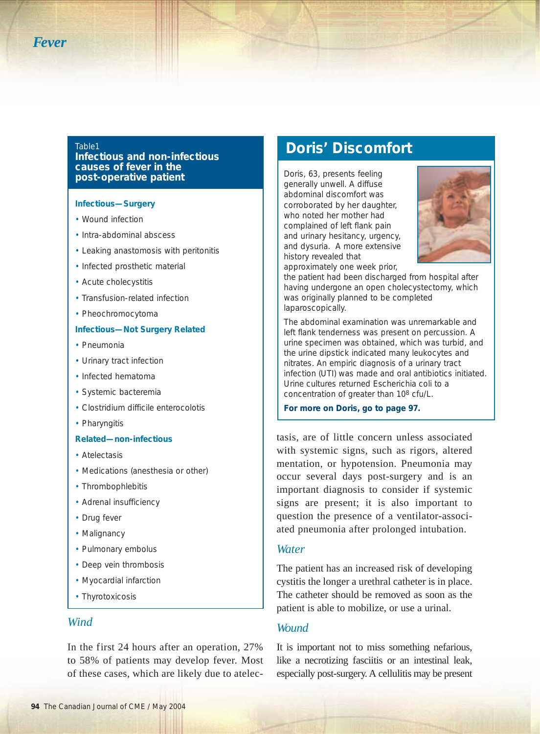#### Table1

**Infectious and non-infectious causes of fever in the post-operative patient**

#### **Infectious—Surgery**

- Wound infection
- Intra-abdominal abscess
- Leaking anastomosis with peritonitis
- Infected prosthetic material
- Acute cholecystitis
- Transfusion-related infection
- Pheochromocytoma

#### **Infectious—Not Surgery Related**

- Pneumonia
- Urinary tract infection
- Infected hematoma
- Systemic bacteremia
- Clostridium difficile enterocolotis
- Pharyngitis

#### **Related—non-infectious**

- Atelectasis
- Medications (anesthesia or other)
- Thrombophlebitis
- Adrenal insufficiency
- Drug fever
- Malignancy
- Pulmonary embolus
- Deep vein thrombosis
- Myocardial infarction
- Thyrotoxicosis

#### *Wind*

In the first 24 hours after an operation, 27% to 58% of patients may develop fever. Most of these cases, which are likely due to atelec-

## **Doris' Discomfort**

Doris, 63, presents feeling generally unwell. A diffuse abdominal discomfort was corroborated by her daughter, who noted her mother had complained of left flank pain and urinary hesitancy, urgency, and dysuria. A more extensive history revealed that approximately one week prior,



the patient had been discharged from hospital after having undergone an open cholecystectomy, which was originally planned to be completed laparoscopically.

The abdominal examination was unremarkable and left flank tenderness was present on percussion. A urine specimen was obtained, which was turbid, and the urine dipstick indicated many leukocytes and nitrates. An empiric diagnosis of a urinary tract infection (UTI) was made and oral antibiotics initiated. Urine cultures returned *Escherichia coli* to a concentration of greater than 108 cfu/L.

**For more on Doris, go to page 97.**

tasis, are of little concern unless associated with systemic signs, such as rigors, altered mentation, or hypotension. Pneumonia may occur several days post-surgery and is an important diagnosis to consider if systemic signs are present; it is also important to question the presence of a ventilator-associated pneumonia after prolonged intubation.

#### *Water*

The patient has an increased risk of developing cystitis the longer a urethral catheter is in place. The catheter should be removed as soon as the patient is able to mobilize, or use a urinal.

#### *Wound*

It is important not to miss something nefarious, like a necrotizing fasciitis or an intestinal leak, especially post-surgery. A cellulitis may be present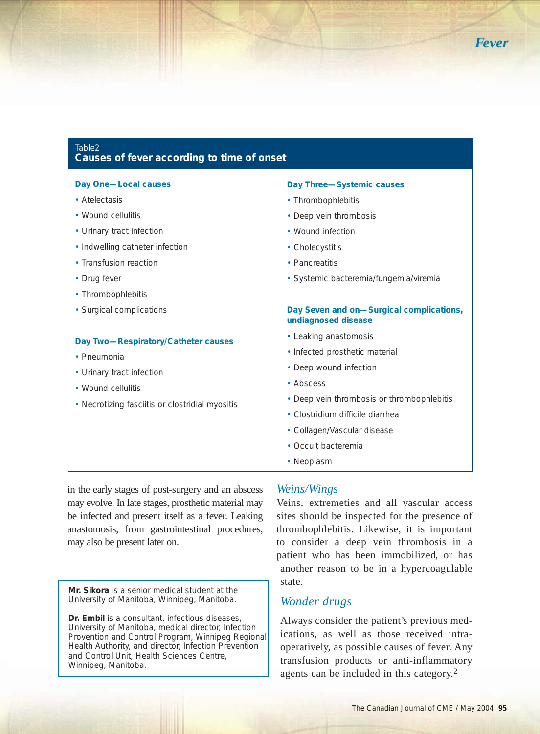

#### Table2 **Causes of fever according to time of onset**

#### **Day One—Local causes** • Atelectasis • Wound cellulitis • Urinary tract infection • Indwelling catheter infection • Transfusion reaction • Drug fever • Thrombophlebitis • Surgical complications **Day Two—Respiratory/Catheter causes** • Pneumonia • Urinary tract infection • Wound cellulitis • Necrotizing fasciitis or clostridial myositis **Day Three—Systemic causes** • Thrombophlebitis • Deep vein thrombosis • Wound infection • Cholecystitis • Pancreatitis • Systemic bacteremia/fungemia/viremia **Day Seven and on—Surgical complications, undiagnosed disease** • Leaking anastomosis • Infected prosthetic material • Deep wound infection • Abscess • Deep vein thrombosis or thrombophlebitis • *Clostridium difficile* diarrhea • Collagen/Vascular disease • Occult bacteremia • Neoplasm

in the early stages of post-surgery and an abscess may evolve. In late stages, prosthetic material may be infected and present itself as a fever. Leaking anastomosis, from gastrointestinal procedures, may also be present later on.

**Mr. Sikora** is a senior medical student at the University of Manitoba, Winnipeg, Manitoba.

**Dr. Embil** is a consultant, infectious diseases, University of Manitoba, medical director, Infection Provention and Control Program, Winnipeg Regional Health Authority, and director, Infection Prevention and Control Unit, Health Sciences Centre, Winnipeg, Manitoba.

#### *Weins/Wings*

Veins, extremeties and all vascular access sites should be inspected for the presence of thrombophlebitis. Likewise, it is important to consider a deep vein thrombosis in a patient who has been immobilized, or has another reason to be in a hypercoagulable state.

### *Wonder drugs*

Always consider the patient's previous medications, as well as those received intraoperatively, as possible causes of fever. Any transfusion products or anti-inflammatory agents can be included in this category.2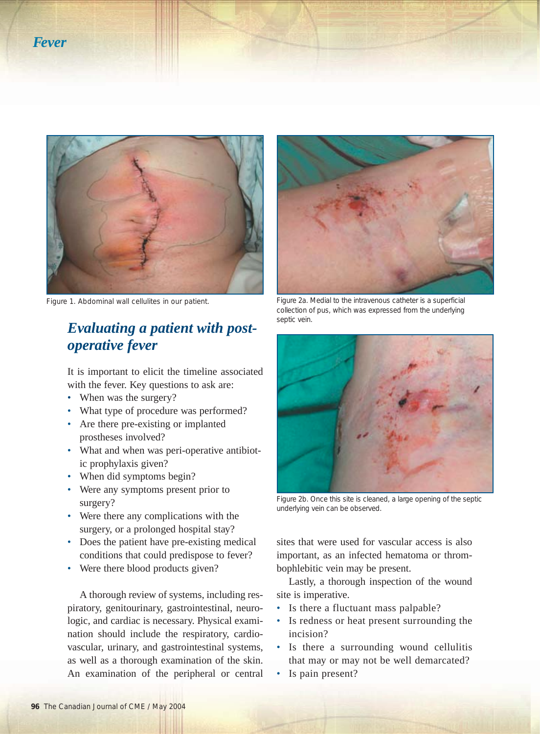



## *Evaluating a patient with postoperative fever*

It is important to elicit the timeline associated with the fever. Key questions to ask are:

- When was the surgery?
- What type of procedure was performed?
- Are there pre-existing or implanted prostheses involved?
- What and when was peri-operative antibiotic prophylaxis given?
- When did symptoms begin?
- Were any symptoms present prior to surgery?
- Were there any complications with the surgery, or a prolonged hospital stay?
- Does the patient have pre-existing medical conditions that could predispose to fever?
- Were there blood products given?

A thorough review of systems, including respiratory, genitourinary, gastrointestinal, neurologic, and cardiac is necessary. Physical examination should include the respiratory, cardiovascular, urinary, and gastrointestinal systems, as well as a thorough examination of the skin. An examination of the peripheral or central



Figure 1. Abdominal wall cellulites in our patient. Figure 2a. Medial to the intravenous catheter is a superficial collection of pus, which was expressed from the underlying septic vein.



Figure 2b. Once this site is cleaned, a large opening of the septic underlying vein can be observed.

sites that were used for vascular access is also important, as an infected hematoma or thrombophlebitic vein may be present.

Lastly, a thorough inspection of the wound site is imperative.

- Is there a fluctuant mass palpable?
- Is redness or heat present surrounding the incision?
- Is there a surrounding wound cellulitis that may or may not be well demarcated?
- Is pain present?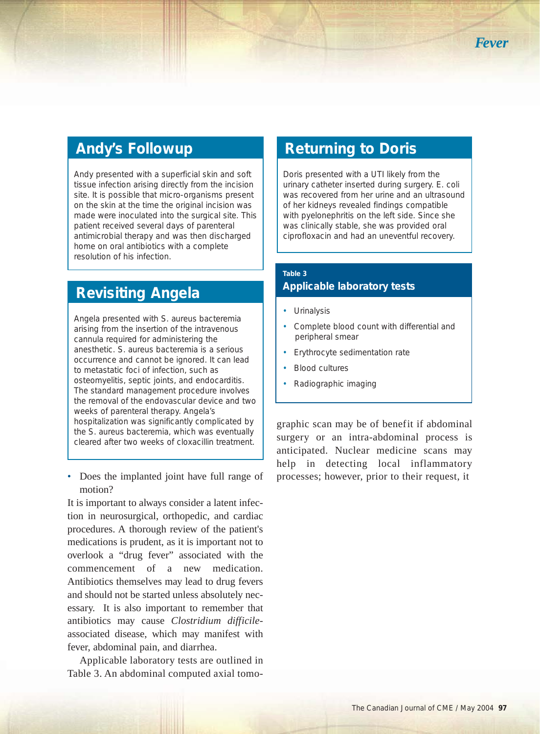## **Andy's Followup**

Andy presented with a superficial skin and soft tissue infection arising directly from the incision site. It is possible that micro-organisms present on the skin at the time the original incision was made were inoculated into the surgical site. This patient received several days of parenteral antimicrobial therapy and was then discharged home on oral antibiotics with a complete resolution of his infection.

## **Revisiting Angela**

Angela presented with *S. aureus* bacteremia arising from the insertion of the intravenous cannula required for administering the anesthetic. *S. aureus* bacteremia is a serious occurrence and cannot be ignored. It can lead to metastatic foci of infection, such as osteomyelitis, septic joints, and endocarditis. The standard management procedure involves the removal of the endovascular device and two weeks of parenteral therapy. Angela's hospitalization was significantly complicated by the *S. aureus* bacteremia, which was eventually cleared after two weeks of cloxacillin treatment.

• Does the implanted joint have full range of motion?

It is important to always consider a latent infection in neurosurgical, orthopedic, and cardiac procedures. A thorough review of the patient's medications is prudent, as it is important not to overlook a "drug fever" associated with the commencement of a new medication. Antibiotics themselves may lead to drug fevers and should not be started unless absolutely necessary. It is also important to remember that antibiotics may cause *Clostridium difficile*associated disease, which may manifest with fever, abdominal pain, and diarrhea.

Applicable laboratory tests are outlined in Table 3. An abdominal computed axial tomo-

## **Returning to Doris**

Doris presented with a UTI likely from the urinary catheter inserted during surgery. *E. coli* was recovered from her urine and an ultrasound of her kidneys revealed findings compatible with pyelonephritis on the left side. Since she was clinically stable, she was provided oral ciprofloxacin and had an uneventful recovery.

### **Table 3**

### **Applicable laboratory tests**

- Urinalysis
- Complete blood count with differential and peripheral smear
- Erythrocyte sedimentation rate
- Blood cultures
- Radiographic imaging

graphic scan may be of benefit if abdominal surgery or an intra-abdominal process is anticipated. Nuclear medicine scans may help in detecting local inflammatory processes; however, prior to their request, it